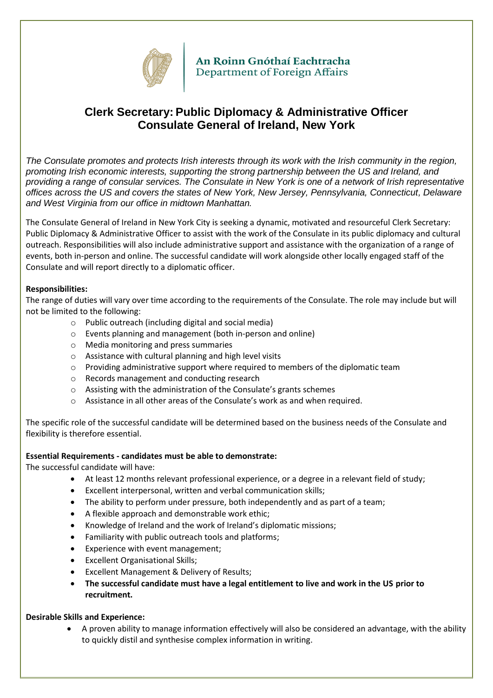

An Roinn Gnóthaí Eachtracha Department of Foreign Affairs

# **Clerk Secretary: Public Diplomacy & Administrative Officer Consulate General of Ireland, New York**

*The Consulate promotes and protects Irish interests through its work with the Irish community in the region, promoting Irish economic interests, supporting the strong partnership between the US and Ireland, and providing a range of consular services. The Consulate in New York is one of a network of Irish representative offices across the US and covers the states of New York, New Jersey, Pennsylvania, Connecticut, Delaware and West Virginia from our office in midtown Manhattan.*

The Consulate General of Ireland in New York City is seeking a dynamic, motivated and resourceful Clerk Secretary: Public Diplomacy & Administrative Officer to assist with the work of the Consulate in its public diplomacy and cultural outreach. Responsibilities will also include administrative support and assistance with the organization of a range of events, both in-person and online. The successful candidate will work alongside other locally engaged staff of the Consulate and will report directly to a diplomatic officer.

# **Responsibilities:**

The range of duties will vary over time according to the requirements of the Consulate. The role may include but will not be limited to the following:

- o Public outreach (including digital and social media)
- o Events planning and management (both in-person and online)
- o Media monitoring and press summaries
- o Assistance with cultural planning and high level visits
- $\circ$  Providing administrative support where required to members of the diplomatic team
- o Records management and conducting research
- o Assisting with the administration of the Consulate's grants schemes
- $\circ$  Assistance in all other areas of the Consulate's work as and when required.

The specific role of the successful candidate will be determined based on the business needs of the Consulate and flexibility is therefore essential.

### **Essential Requirements - candidates must be able to demonstrate:**

The successful candidate will have:

- At least 12 months relevant professional experience, or a degree in a relevant field of study;
- Excellent interpersonal, written and verbal communication skills;
- The ability to perform under pressure, both independently and as part of a team;
- A flexible approach and demonstrable work ethic;
- Knowledge of Ireland and the work of Ireland's diplomatic missions;
- Familiarity with public outreach tools and platforms;
- Experience with event management;
- Excellent Organisational Skills;
- Excellent Management & Delivery of Results;
- **The successful candidate must have a legal entitlement to live and work in the US prior to recruitment.**

### **Desirable Skills and Experience:**

 A proven ability to manage information effectively will also be considered an advantage, with the ability to quickly distil and synthesise complex information in writing.